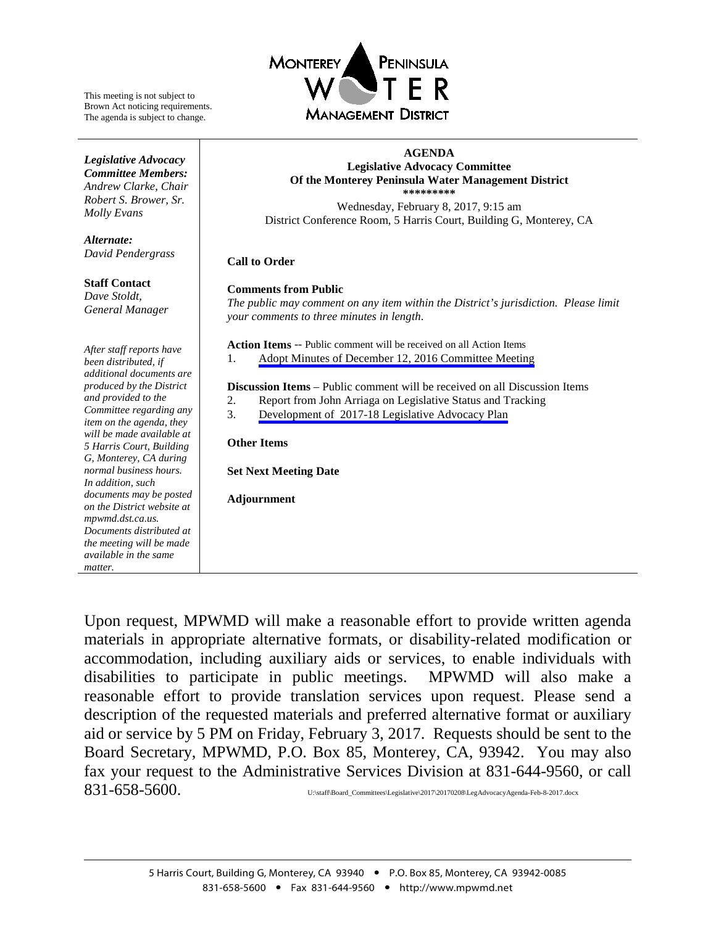

This meeting is not subject to Brown Act noticing requirements. The agenda is subject to change.

#### *Legislative Advocacy Committee Members: Andrew Clarke*, *Chair Robert S. Brower, Sr. Molly Evans*

*Alternate: David Pendergrass*

**Staff Contact** *Dave Stoldt, General Manager*

*After staff reports have been distributed, if additional documents are produced by the District and provided to the Committee regarding any item on the agenda, they will be made available at 5 Harris Court, Building G, Monterey, CA during normal business hours. In addition, such documents may be posted on the District website at mpwmd.dst.ca.us. Documents distributed at the meeting will be made available in the same matter.*

#### **AGENDA Legislative Advocacy Committee Of the Monterey Peninsula Water Management District \*\*\*\*\*\*\*\*\***

Wednesday, February 8, 2017, 9:15 am District Conference Room, 5 Harris Court, Building G, Monterey, CA

#### **Call to Order**

#### **Comments from Public**

*The public may comment on any item within the District's jurisdiction. Please limit your comments to three minutes in length*.

**Action Items** -- Public comment will be received on all Action Items

1. [Adopt Minutes of December 12, 2016](#page-1-0) Committee Meeting

**Discussion Items** – Public comment will be received on all Discussion Items

- 2. Report from John Arriaga on Legislative Status and Tracking
- 3. Development of 2017-18 [Legislative Advocacy Plan](#page-4-0)

#### **Other Items**

**Set Next Meeting Date**

**Adjournment**

Upon request, MPWMD will make a reasonable effort to provide written agenda materials in appropriate alternative formats, or disability-related modification or accommodation, including auxiliary aids or services, to enable individuals with disabilities to participate in public meetings. MPWMD will also make a reasonable effort to provide translation services upon request. Please send a description of the requested materials and preferred alternative format or auxiliary aid or service by 5 PM on Friday, February 3, 2017. Requests should be sent to the Board Secretary, MPWMD, P.O. Box 85, Monterey, CA, 93942. You may also fax your request to the Administrative Services Division at 831-644-9560, or call  $831$ -658-5600. U:\staff\Board\_Committees\Legislative\2017\20170208\LegAdvocacyAgenda-Feb-8-2017.docx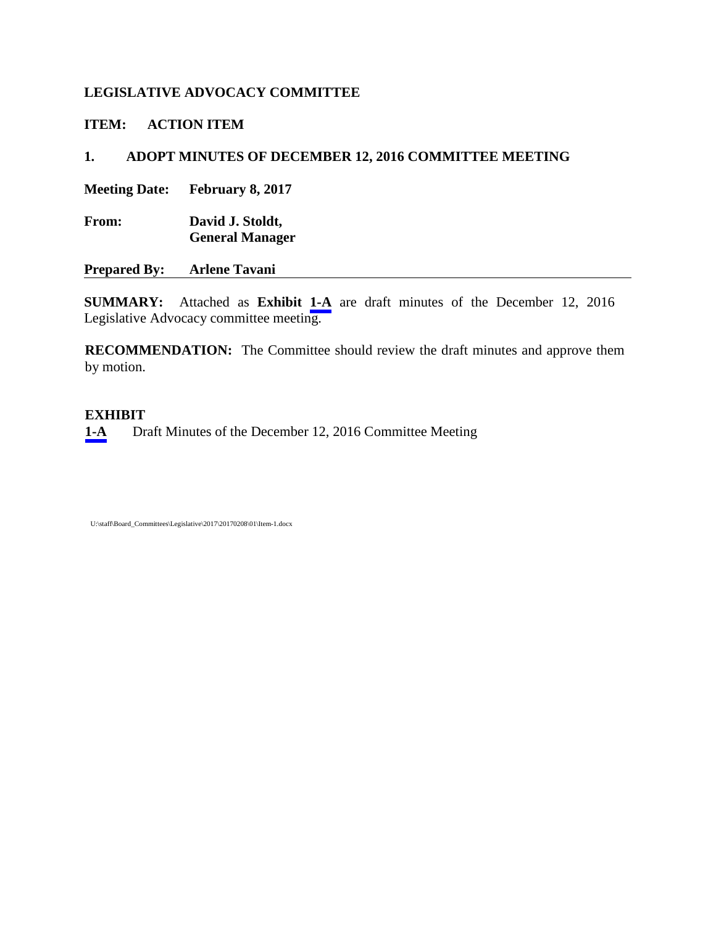## <span id="page-1-0"></span>**LEGISLATIVE ADVOCACY COMMITTEE**

**ITEM: ACTION ITEM** 

## **1. ADOPT MINUTES OF DECEMBER 12, 2016 COMMITTEE MEETING**

**Meeting Date: February 8, 2017** 

**From: David J. Stoldt, General Manager**

**Prepared By: Arlene Tavani**

**SUMMARY:** Attached as **Exhibit [1-A](#page-2-0)** are draft minutes of the December 12, 2016 Legislative Advocacy committee meeting.

**RECOMMENDATION:** The Committee should review the draft minutes and approve them by motion.

### **EXHIBIT**

**[1-A](#page-2-0)** Draft Minutes of the December 12, 2016 Committee Meeting

U:\staff\Board\_Committees\Legislative\2017\20170208\01\Item-1.docx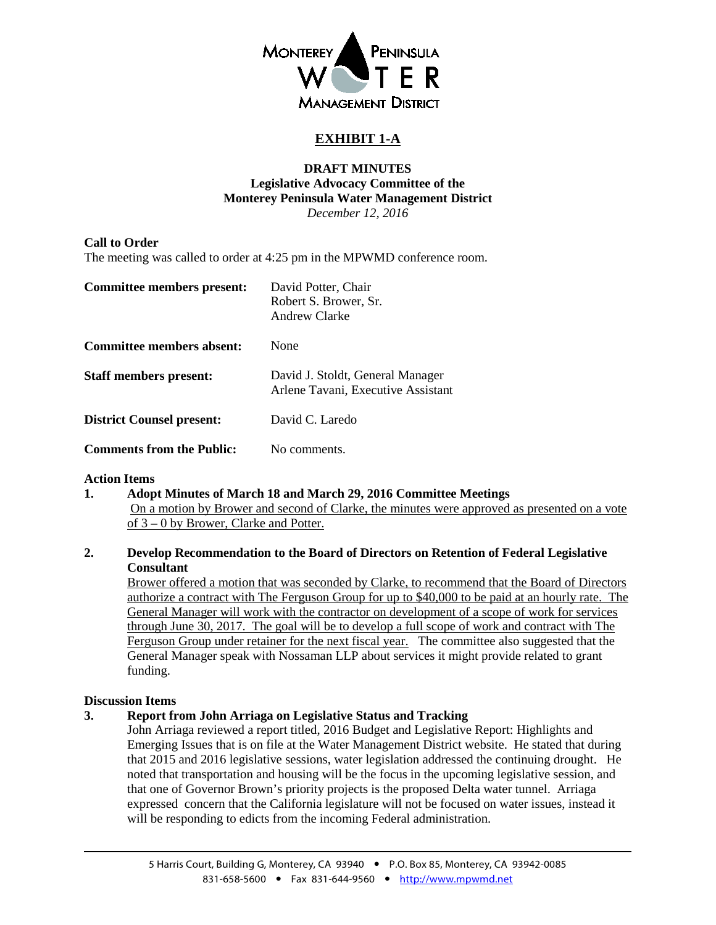

## **EXHIBIT 1-A**

#### **DRAFT MINUTES Legislative Advocacy Committee of the Monterey Peninsula Water Management District** *December 12, 2016*

#### <span id="page-2-0"></span>**Call to Order**

The meeting was called to order at 4:25 pm in the MPWMD conference room.

| Committee members present:       | David Potter, Chair<br>Robert S. Brower, Sr.<br>Andrew Clarke          |
|----------------------------------|------------------------------------------------------------------------|
| Committee members absent:        | None                                                                   |
| <b>Staff members present:</b>    | David J. Stoldt, General Manager<br>Arlene Tavani, Executive Assistant |
| <b>District Counsel present:</b> | David C. Laredo                                                        |
| <b>Comments from the Public:</b> | No comments.                                                           |

#### **Action Items**

**1. Adopt Minutes of March 18 and March 29, 2016 Committee Meetings** On a motion by Brower and second of Clarke, the minutes were approved as presented on a vote of 3 – 0 by Brower, Clarke and Potter.

#### **2. Develop Recommendation to the Board of Directors on Retention of Federal Legislative Consultant**

Brower offered a motion that was seconded by Clarke, to recommend that the Board of Directors authorize a contract with The Ferguson Group for up to \$40,000 to be paid at an hourly rate. The General Manager will work with the contractor on development of a scope of work for services through June 30, 2017. The goal will be to develop a full scope of work and contract with The Ferguson Group under retainer for the next fiscal year. The committee also suggested that the General Manager speak with Nossaman LLP about services it might provide related to grant funding.

#### **Discussion Items**

**3. Report from John Arriaga on Legislative Status and Tracking**

John Arriaga reviewed a report titled, 2016 Budget and Legislative Report: Highlights and Emerging Issues that is on file at the Water Management District website. He stated that during that 2015 and 2016 legislative sessions, water legislation addressed the continuing drought. He noted that transportation and housing will be the focus in the upcoming legislative session, and that one of Governor Brown's priority projects is the proposed Delta water tunnel. Arriaga expressed concern that the California legislature will not be focused on water issues, instead it will be responding to edicts from the incoming Federal administration.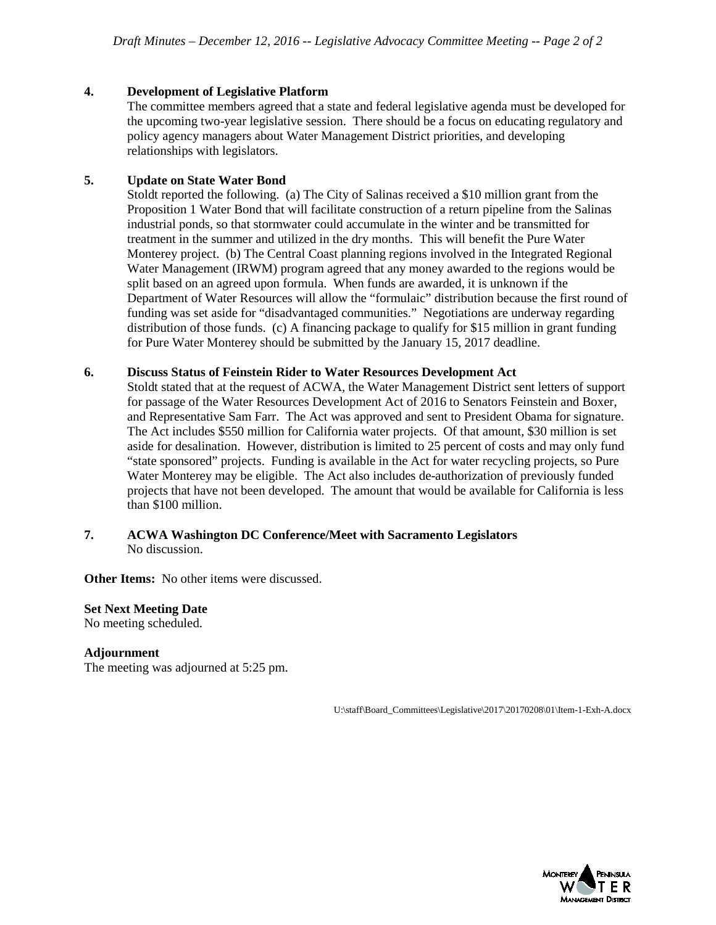#### **4. Development of Legislative Platform**

The committee members agreed that a state and federal legislative agenda must be developed for the upcoming two-year legislative session. There should be a focus on educating regulatory and policy agency managers about Water Management District priorities, and developing relationships with legislators.

#### **5. Update on State Water Bond**

Stoldt reported the following. (a) The City of Salinas received a \$10 million grant from the Proposition 1 Water Bond that will facilitate construction of a return pipeline from the Salinas industrial ponds, so that stormwater could accumulate in the winter and be transmitted for treatment in the summer and utilized in the dry months. This will benefit the Pure Water Monterey project. (b) The Central Coast planning regions involved in the Integrated Regional Water Management (IRWM) program agreed that any money awarded to the regions would be split based on an agreed upon formula. When funds are awarded, it is unknown if the Department of Water Resources will allow the "formulaic" distribution because the first round of funding was set aside for "disadvantaged communities." Negotiations are underway regarding distribution of those funds. (c) A financing package to qualify for \$15 million in grant funding for Pure Water Monterey should be submitted by the January 15, 2017 deadline.

#### **6. Discuss Status of Feinstein Rider to Water Resources Development Act**

Stoldt stated that at the request of ACWA, the Water Management District sent letters of support for passage of the Water Resources Development Act of 2016 to Senators Feinstein and Boxer, and Representative Sam Farr. The Act was approved and sent to President Obama for signature. The Act includes \$550 million for California water projects. Of that amount, \$30 million is set aside for desalination. However, distribution is limited to 25 percent of costs and may only fund "state sponsored" projects. Funding is available in the Act for water recycling projects, so Pure Water Monterey may be eligible. The Act also includes de-authorization of previously funded projects that have not been developed. The amount that would be available for California is less than \$100 million.

#### **7. ACWA Washington DC Conference/Meet with Sacramento Legislators** No discussion.

**Other Items:** No other items were discussed.

#### **Set Next Meeting Date**

No meeting scheduled.

#### **Adjournment**

The meeting was adjourned at 5:25 pm.

U:\staff\Board\_Committees\Legislative\2017\20170208\01\Item-1-Exh-A.docx

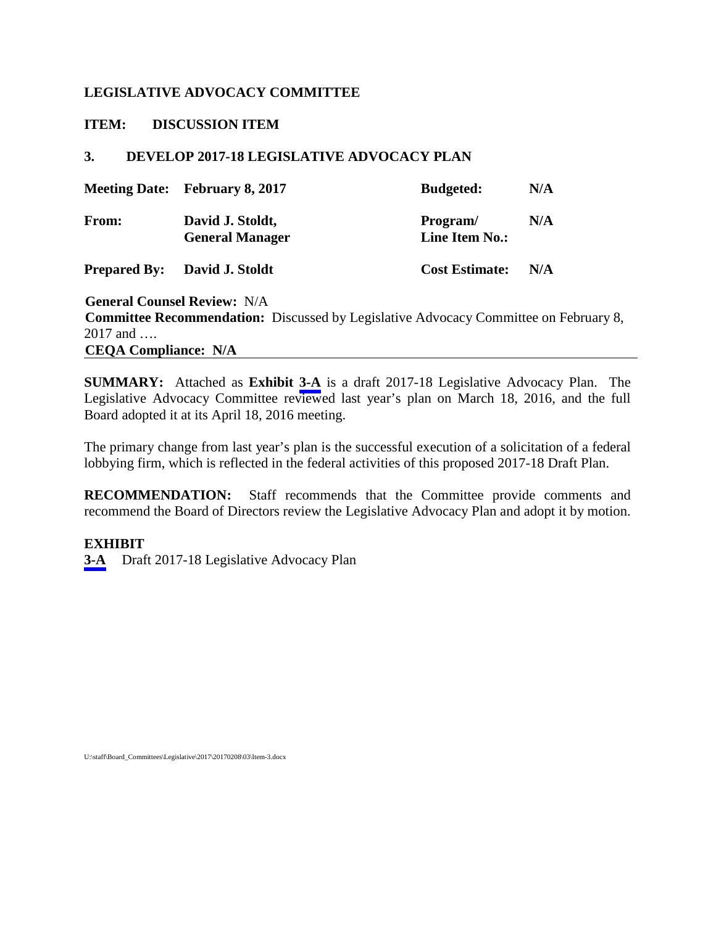### <span id="page-4-0"></span>**LEGISLATIVE ADVOCACY COMMITTEE**

**ITEM: DISCUSSION ITEM**

### **3. DEVELOP 2017-18 LEGISLATIVE ADVOCACY PLAN**

|              | <b>Meeting Date:</b> February 8, 2017      | <b>Budgeted:</b>           | N/A |
|--------------|--------------------------------------------|----------------------------|-----|
| <b>From:</b> | David J. Stoldt,<br><b>General Manager</b> | Program/<br>Line Item No.: | N/A |

**Prepared By:** David J. Stoldt **Cost Estimate:** N/A

**General Counsel Review:** N/A **Committee Recommendation:** Discussed by Legislative Advocacy Committee on February 8, 2017 and …. **CEQA Compliance: N/A**

**SUMMARY:** Attached as **Exhibit [3-A](#page-5-0)** is a draft 2017-18 Legislative Advocacy Plan. The Legislative Advocacy Committee reviewed last year's plan on March 18, 2016, and the full Board adopted it at its April 18, 2016 meeting.

The primary change from last year's plan is the successful execution of a solicitation of a federal lobbying firm, which is reflected in the federal activities of this proposed 2017-18 Draft Plan.

**RECOMMENDATION:** Staff recommends that the Committee provide comments and recommend the Board of Directors review the Legislative Advocacy Plan and adopt it by motion.

### **EXHIBIT**

**[3-A](#page-5-0)** Draft 2017-18 Legislative Advocacy Plan

U:\staff\Board\_Committees\Legislative\2017\20170208\03\Item-3.docx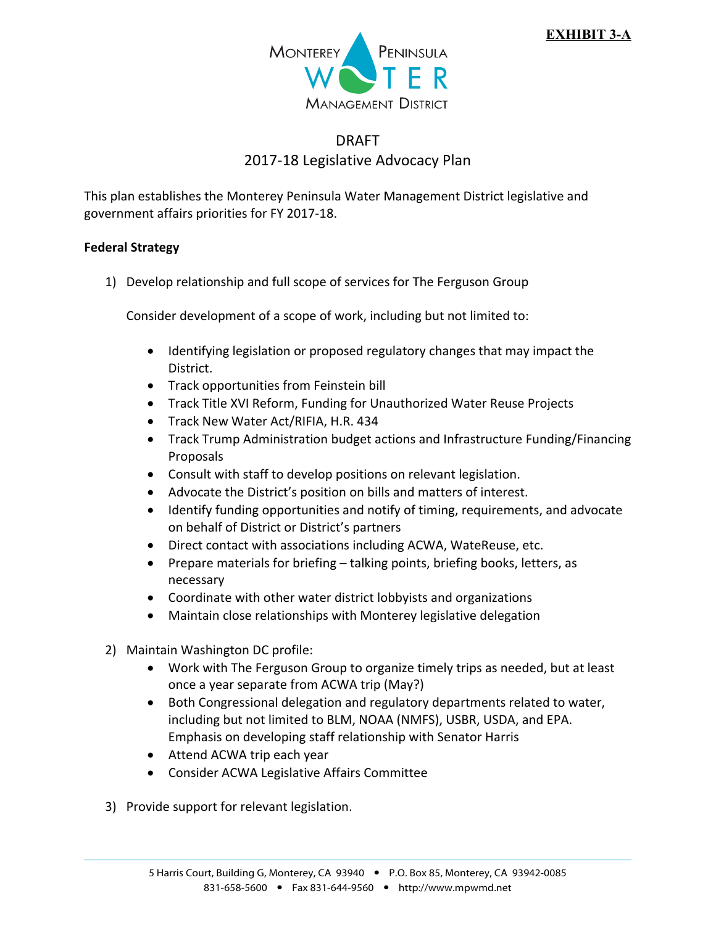

# DRAFT 2017‐18 Legislative Advocacy Plan

<span id="page-5-0"></span>This plan establishes the Monterey Peninsula Water Management District legislative and government affairs priorities for FY 2017‐18.

### **Federal Strategy**

1) Develop relationship and full scope of services for The Ferguson Group

Consider development of a scope of work, including but not limited to:

- Identifying legislation or proposed regulatory changes that may impact the District.
- Track opportunities from Feinstein bill
- Track Title XVI Reform, Funding for Unauthorized Water Reuse Projects
- **•** Track New Water Act/RIFIA, H.R. 434
- Track Trump Administration budget actions and Infrastructure Funding/Financing Proposals
- Consult with staff to develop positions on relevant legislation.
- Advocate the District's position on bills and matters of interest.
- Identify funding opportunities and notify of timing, requirements, and advocate on behalf of District or District's partners
- Direct contact with associations including ACWA, WateReuse, etc.
- Prepare materials for briefing talking points, briefing books, letters, as necessary
- Coordinate with other water district lobbyists and organizations
- Maintain close relationships with Monterey legislative delegation
- 2) Maintain Washington DC profile:
	- Work with The Ferguson Group to organize timely trips as needed, but at least once a year separate from ACWA trip (May?)
	- Both Congressional delegation and regulatory departments related to water, including but not limited to BLM, NOAA (NMFS), USBR, USDA, and EPA. Emphasis on developing staff relationship with Senator Harris
	- Attend ACWA trip each year
	- Consider ACWA Legislative Affairs Committee
- 3) Provide support for relevant legislation.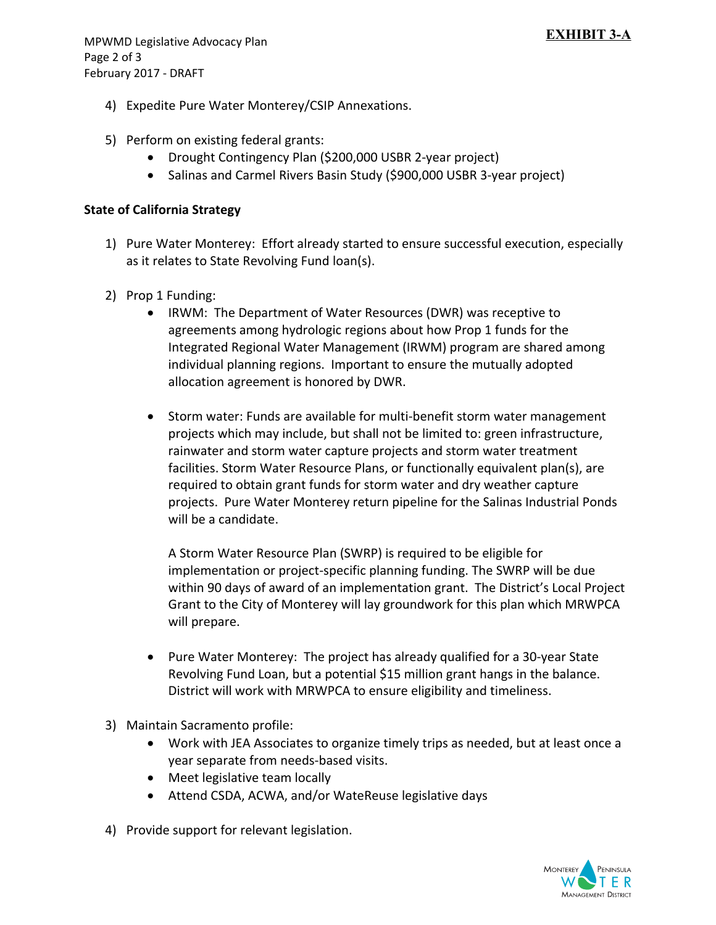- 4) Expedite Pure Water Monterey/CSIP Annexations.
- 5) Perform on existing federal grants:
	- Drought Contingency Plan (\$200,000 USBR 2-year project)
	- Salinas and Carmel Rivers Basin Study (\$900,000 USBR 3-year project)

### **State of California Strategy**

- 1) Pure Water Monterey: Effort already started to ensure successful execution, especially as it relates to State Revolving Fund loan(s).
- 2) Prop 1 Funding:
	- IRWM: The Department of Water Resources (DWR) was receptive to agreements among hydrologic regions about how Prop 1 funds for the Integrated Regional Water Management (IRWM) program are shared among individual planning regions. Important to ensure the mutually adopted allocation agreement is honored by DWR.
	- Storm water: Funds are available for multi-benefit storm water management projects which may include, but shall not be limited to: green infrastructure, rainwater and storm water capture projects and storm water treatment facilities. Storm Water Resource Plans, or functionally equivalent plan(s), are required to obtain grant funds for storm water and dry weather capture projects. Pure Water Monterey return pipeline for the Salinas Industrial Ponds will be a candidate.

A Storm Water Resource Plan (SWRP) is required to be eligible for implementation or project‐specific planning funding. The SWRP will be due within 90 days of award of an implementation grant. The District's Local Project Grant to the City of Monterey will lay groundwork for this plan which MRWPCA will prepare.

- Pure Water Monterey: The project has already qualified for a 30-year State Revolving Fund Loan, but a potential \$15 million grant hangs in the balance. District will work with MRWPCA to ensure eligibility and timeliness.
- 3) Maintain Sacramento profile:
	- Work with JEA Associates to organize timely trips as needed, but at least once a year separate from needs‐based visits.
	- Meet legislative team locally
	- Attend CSDA, ACWA, and/or WateReuse legislative days
- 4) Provide support for relevant legislation.